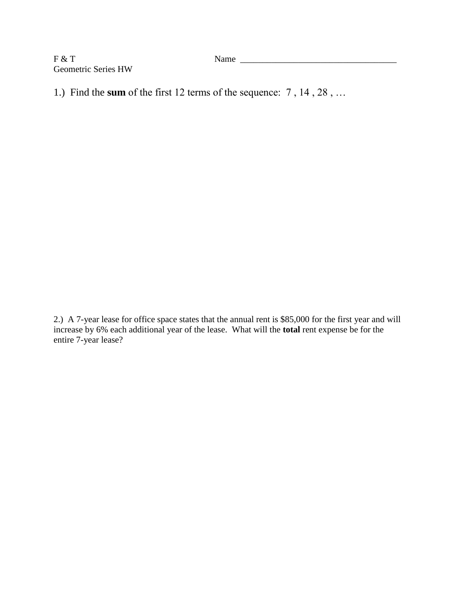F & T Name \_\_\_\_\_\_\_\_\_\_\_\_\_\_\_\_\_\_\_\_\_\_\_\_\_\_\_\_\_\_\_\_\_\_\_ Geometric Series HW

1.) Find the **sum** of the first 12 terms of the sequence: 7 , 14 , 28 , …

2.) A 7-year lease for office space states that the annual rent is \$85,000 for the first year and will increase by 6% each additional year of the lease. What will the **total** rent expense be for the entire 7-year lease?